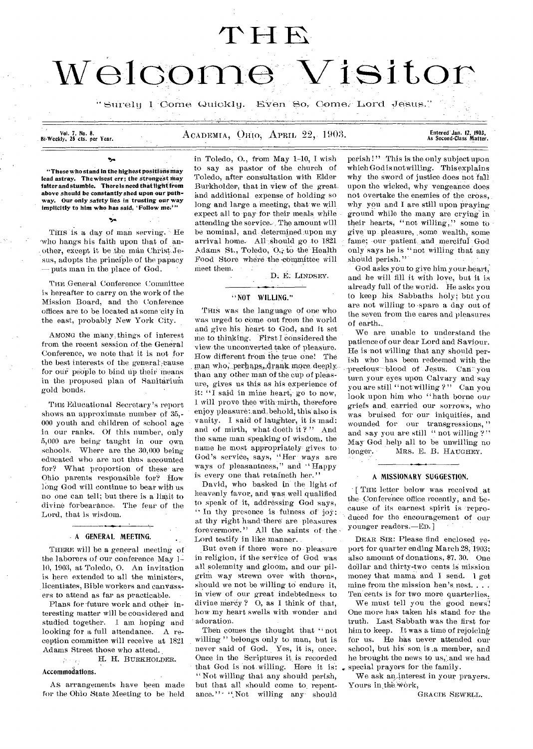## $THE$

# Welcome Visitor

" Surely I Come Quickly. Even So, Come, Lord Jesus.'

Vol. 7, No. 8.<br>Bi-Weekly, 25 cts. per Year.

#### ACADEMIA, OHIO, APRIL 22, 1903.

Entered Jan. 12, 1903,<br>As Second•Class Matter.

"Those who stand in the highest positions may lead astray. The wisest err; the strongest may falter and stumble. There is need that light from above should be constantly shed upon our pathway. Our only safety lies in trusting our way implicitly to him who has said, 'Follow me.'"

THIS is a day of man serving. He who hangs his faith upon that of another, except it be the man Christ Jesus, adopts the principle of the papacy — puts man in the place of God.

THE General Conference Committee is hereafter to carry on the work of the Mission Board, and the Conference offices are to be located at some 'city in the east, probably New York City.

AMONG the many, things of interest from the recent session of the General Conference, we note that it is not for the best interests of the general cause for our people to bind up their means in the proposed plan of Sanitarium gold bonds.

THE Educational Secretary's report shows an approximate number of 35,- 000 youth and children of school age in our ranks. Of this number, only 5,000 are being taught in our own schools. Where are the 30,000 being educated who are not thus accounted for? What proportion of these are Ohio parents responsible for? How long God will continue to bear with us no one can tell; but there is a limit to divine forbearance. The fear of the Lord, that is wisdom.

#### A GENERAL MEETING.

THERE will be a general meeting of the laborers of our conference May 1-10, 1903, at Toledo, 0. An invitation is here extended to all the ministers, licentiates, Bible workers and canvassers to attend as far as practicable.

Plans for 'future work and other interesting matter will be considered and studied together. I am hoping and looking for a full attendance. A reception committee will receive at 1821 Adams Street those who attend.

H. H. BURKHOLDER.  $\frac{2\pi}{\pi}$  ,  $\frac{1}{\pi}$  ,  $\frac{1}{\pi}$  , Accommodations.

As arrangements have been made for the Ohio State Meeting to be held

in Toledo, 0., from May 1-10, I wish to say as pastor of the church of Toledo, after consultation with Elder Burkholder, that in view of the great. and additional expense of holding so long and large a meeting, that we will expect all to pay for their meals while attending the service. The amount will be nominal, and determined upon my arrival home. All should go to 1821 Adams St., Toledo, O. to the Health Food Store where the committee will meet them.

D. E. LINDSEY.

#### "NOT WILLING."

THIS was the language of one who was urged to come out from the world and give his heart to God, and it set me to thinking. First I considered the view the unconverted take of pleasure. How different from the true one! The man who, perhaps, drank more deeply. than any other man of the cup of pleasure, gives us this as his experience of it: "I said in mine heart, go to now, 1 will prove thee with-mirth, therefore enjoy pleasure:.and.behold, this also is vanity. I said of laughter, it is mad: and of mirth, what doeth it?" And the same man speaking of wisdom, the name he most appropriately gives to God's service, says, "Her ways are ways of pleasantness," and " Happy is every one that retaineth her."

David, who basked in the light of heavenly favor, and was well qualified to speak of it, addressing God says, " In thy presence is fulness of joy: at thy right hand there are pleasures forevermore." All the saints of- the Lord testify in like manner.

But even if there were no pleasure in religion, if the service of God was all solemnity and gloom, and our pilgrim way strewn over with thorns, should we not be willing to endure it, in view of our great indebtedness to divine mercy ? 0, as I think of that, how my heart swells with wonder and adoration.

Then comes the thought that "not willing" belongs only to man, but is never said of God. Yes, it is, once. Once in the Scriptures it, is recorded that God is not willing. Here it is: " Not willing that any should perish, but that all should come to repentance." - "Not willing any should

perish!" This is the only subject upon which God is not willing. This explains why the sword of justice does not fall upon the wicked, why vengeance does not overtake the enemies of the cross, why you and I are still upon praying ground while the many are crying-in their hearts, "not willing," some to give up pleasure, some wealth, some fame; our patient and merciful God only says he is "not willing that any should perish."

God asks you to give him yourheart; and he will fill it with love, but it is already full of the world. He asks you to keep his Sabbaths holy; but you are not willing to -spare a day out of the seven from the cares and pleasures of earth.\_

We are unable to understand the patience of our dear Lord and Saviour. He is not willing that any should perish who has been redeemed with the precious blood of Jesus. Can you turn your eyes upon Calvary and say you are still "not willing ? " Can you look upon him who "hath borne our griefs and, carried our sorrows, who was bruised for our iniquities, and wounded for our transgressions,' and say you are still "not willing ?" May God help all to be unwilling no longer. MRS. E. B. HAUGHEY,

#### A MISSIONARY SUGGESTION.

[ THE letter below was received at the- Conference office recently, and because of its earnest spirit is reproduced for the encouragement of our younger readers.—En.]

DEAR SIR: Please find enclosed report for quarter ending March 28, 1903; also amount of donations, \$7, 30. One dollar and thirty-two cents is mission money that mama and I send. 1 get mine from the mission hen's. nest. . . . Ten cents is for two more quarterlies.

We must tell you the good news! One more has taken his stand for the truth. Last Sabbath was the first for him to keep. It was a time of rejoicing for us. He has never attended our school, but his son is .a member, and he brought the news to us, and we had special prayers for the family.

We ask an interest in your prayers. Yours in the work,

GRACIE SEWELL.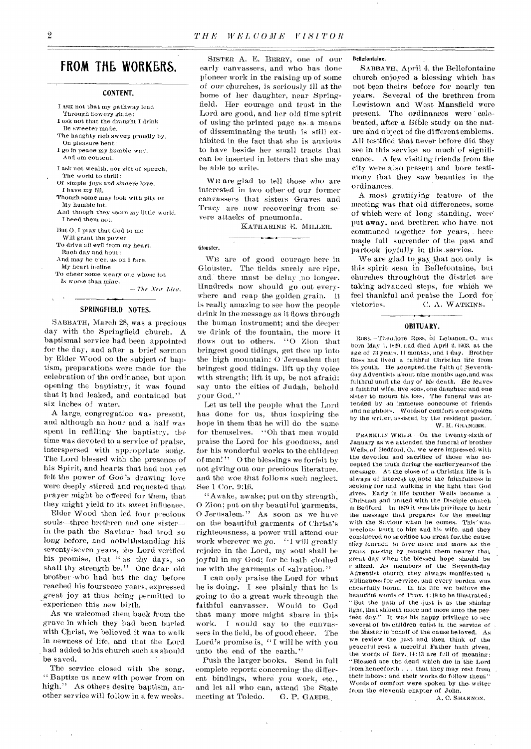#### **FROM THE WORKERS.**

#### CONTENT.

- I ASK not that my pathway lead Through flowery glade: I ask not that the draught I drink
- Be sweeter made. The haughty rich sweep proudly by,
- On pleasure bent: *I go* in peace my humble *way.*
- And am content.
- I ask not wealth, nor gift of speech, The world to thrill:
- *Of simple joys* and sincere love, I have my fill.
- Though some may look with pity on My humble lot,
- And though they scorn my little world. I heed them not.
- But 0, I play that God to me
- Will grant the power
- To drive all evil from my heart. Each day and hour:
- And may he e'er, as on I fare.
- My heart incline
- To cheer some weary one whose lot Is worse *than mine.*

*—The New Idea.* 

Glouster,

#### SPRINGFIELD NOTES.

SABBATH, March 28, was a precious day with the Springfield church. A baptismal service had been appointed for the day, and after a brief sermon by Elder Wood on the subject of baptism, preparations were made for the celebration of the ordinance, but upon opening the baptistry, it was found that it had leaked, and contained but six inches of water.

A large, congregation was present, and although an hour and a half was spent in refilling the baptistry, the time was devoted to a service of praise, interspersed with appropriate song. The Lord blessed with the presence of his Spirit, and hearts that had not yet felt the power of God's drawing love were deeply stirred and requested that prayer might be offered for them, that they might yield to its sweet influence.

Elder Wood then led four precious souls—three brethren and one sister- in the path the Saviour had trod so long before, and notwithstanding his seventy=seven years, the Lord verified his promise, that " as thy days, so shall thy strength be." One dear old brother who had but the day before reached his fourscore years, expressed great joy at thus being permitted to experience this new birth.

As we welcomed them back from the grave in which they had been buried with Christ, we believed it was to walk in newness of life, and that the Lord had added to his church such as should be saved.

The service closed with the song, " Baptize us anew with power from on high." As others desire baptism, another service will follow in a few weeks.

SISTER A. E. BERRY, one of our early canvassers, and who has done pioneer work in the raising up of some of our churches, is seriously ill at the home of her daughter, near Springfield. Her courage and trust in the Lord are good, and her old time spirit of using the printed page as. a means of disseminating the truth is still exhibited in the fact that she is anxious to have beside her small tracts that can be inserted in letters that she may be able to write.

WE are glad to tell those who are interested in two other of our former canvassers that sisters Graves and Tracy are now recovering from severe attacks of pneumonia.

KATHARINE E. MILLER.

WE are of good courage here in Glouster. The fields surely are ripe, and there must be delay no longer. Hundreds now should go out everywhere and reap the golden grain. It is really amazing to see how the people drink in the message as it flows through the human instrument; and the deeper we drink of the fountain, the more it flows out to others. "0 Zion that bringest good tidings, get thee up into the high mountain: 0 Jerusalem that bringest good tidings. lift up thy voice with strength; lift it up, be not afraid: say unto the cities of Judah, behold your God."

Let us tell the people what the Lord has done for us, thus inspiring the hope in them that he will do the same for themselves. "Oh that men would praise the Lord for his goodness, and for his wonderful works to the children of men!" O the blessings we forfeit by not giving out our precious literature, and the woe that follows such neglect. See 1 Cor. 9:16.

"Awake, awake; put on thy strength, 0 Zion; put on thy beautiful 'garments, O Jerusalem." As soon as we have on the beautiful garments of Christ's righteousness, a power will attend our work wherever we go. "I will greatly rejoice in the Lord, my soul shall be joyful in my God; for he hath clothed me with the garments of salvation."

I can only praise the Lord for what he is doing. I see plainly that he is going to do a great work through the faithful canvasser. Would to God that many more might share in this work. I would say to the canvassers in the field, be of good cheer. The Lord's promise is, " I will be with you unto the end of the earth."

Push the larger books. Send in full complete reports concerning- the different bindings, where you work, etc., and let all who can, attend the State<br>meeting at Toledo. G. P. GAEDE. meeting at Toledo.

#### Bellefontaine.

SABBATH, April 4, the Bellefontaine church enjoyed a blessing which has not been theirs before for nearly ten years. Several of. the brethren from Lewistown and West Mansfield were present. The ordinances were celebrated, after a Bible study on the nature and object of the different emblems. All testified that never before did they see in this service so much' of significance. A few visiting friends from the city were also present and bore testimony that they saw beauties in the ordinances.

A most gratifying feature of the meeting was that old differences, some of which were of long standing, were put away, and brethren who have- not communed together for years, . here made full surrender of the past and partook joyfully in this .service.

We are glad to say that not.only is this spirit seen in Bellefontaine, but churches throughout the district are taking advanced steps, for which we feel thankful and praise the Lord for<br>victories. C. A. WATKINS. C. A. WATKINS.

#### OBITUARY.

Ross. - Theodore Ross, of Lebanon, O., was born May 1, 1829, and died April 2, 1903, at the age of 73 years. Il months, and 1 day. Brother Ross had lived a faithful Christian life from his youth. He accepted the faith of Seventhday Adventists about nine months ago, and was faithful until the day of his death. He leaves a faithful wife, five sons, one daughter and one sister to mourn his loss. The funeral was attended by an immense concourse of friends and neighbors. Words of comfort were spoken by the writer, assisted by the resident pastor. W. H. GRANGER.

PRANKLLN WELLS. -On the twenty-sixth of January as we attended the funeral of brother Wells, of Bedford, 0.. we were impressed-with the devotion and sacrifice of those who aecepted the truth during the earlieryearsof the message. At the close of a Christian life it is always of interest to,,,pote the *faithfulness* in seeking for and walking in the light that God gives. Early in life brother Wells became a Christian and united with the Disciple church in Bedford. In 1879 it was his privilege to hear the message that prepares for the meeting with the Saviour when he comes. This' was precious truth \_to him and his wife, and they considered no sacrifice too great for,the cause they learned to love more and more as the years passing by hrought them nearer that great day when the blessed hope should be r alized. As members of the Seventh-day Adventist church they always manifested a willingness for service, and every burden was cheerfully borne. In his life we believe the beautiful words of Prov. 4:18 to be illustrated: " But the path of the -just is as the shining light, that shineth more and more unto the perfeet day." It was his happy privilege to see several of his children enlist in the service of the Master in behalf of the cause he loved. As we review the past and then think of the peaceful rest a merciful\_ Father bath given, the words of Rev., 14 : 13 are full of meaning: "Blessed are the dead which die in the Lord from henceforth . . . that they may rest from their labors; and their works do follow them'," Words of comfort were spoken by the writer from the eleventh chapter of John.

A. C. SHANNON.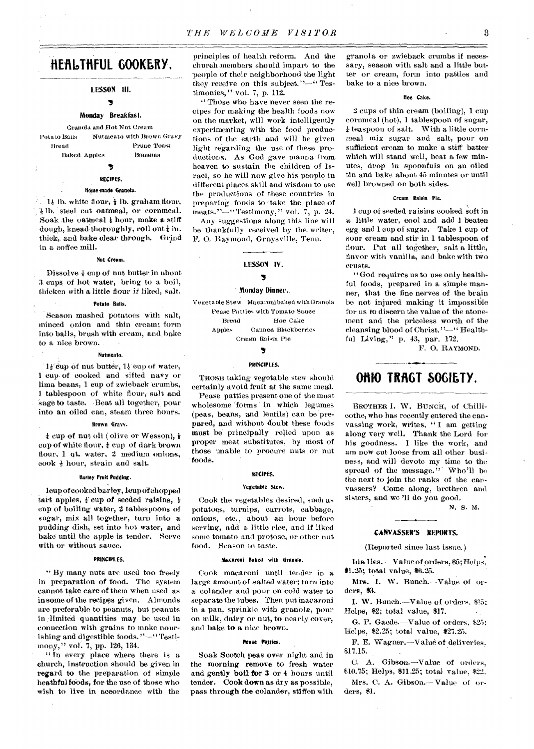### **flEillaTtIFUL GOOKERY,**

LESSON III.

#### 5

#### Monday Breakfast.

Granola and Hot Nut Cream Potato Balls Nutmeato with Brown Gravy Bread Prune Toast Baked Apples Bananas

#### RECIPES.

#### Nine-made Granola.

 $1\frac{1}{2}$  lb. white flour,  $\frac{1}{2}$  lb. graham, flour, 1 lb. steel cut oatmeal, or cornmeal. Soak the oatmeal  $\frac{1}{2}$  hour, make a stiff dough, knead thoroughly, roll out  $\frac{1}{4}$  in. thick, and bake clear through. Grind in a coffee mill.

#### Nut Cream.

Dissolve  $\frac{1}{3}$  eup of nut butter in about 3 cups of hot water, bring to a boil, thicken with a little flour if liked, salt.

#### Potato Balls.

Season mashed potatoes with salt, minced onion and thin cream; form into balls, brush with cream, and, bake to a nice brown.

#### Nutmeato.

 $1\frac{1}{2}$  cup of nut butter,  $1\frac{1}{2}$  cup of water, 1 cup- of cooked and sifted navy or lima beans, 1 cup of zwieback erumbs, 1 tablespoon of white flour, salt and sage to taste. Beat all together, pour into an oiled can, steam three hours.

#### Brown Gravy.

 $\frac{1}{k}$  cup of nut oil ( olive or Wesson),  $\frac{1}{k}$ cup of white flour,  $\frac{1}{4}$  cup of dark brown flour, 1 qt, water, 2 medium onions, cook  $\frac{1}{2}$  hour, strain and salt.

#### Barley Fruit Pudding.

leup of cooked barley, lcup of chopped tart apples,  $\frac{1}{2}$  cup of seeded raisins,  $\frac{1}{2}$ cup of boiling water, 2 tablespoons of sugar, mix all together, turn into a pudding dish, set into hot water, and bake until the apple is tender. Serve with or without sauce.

#### PRINCIPLES.

" By many nuts are used too freely in preparation of food. The system cannot take care of them when used as in some of the recipes given. Almonds are preferable to peanuts, but peanuts in limited quantities may be used in connection with grains to make nourishing and digestible foods."--' Testimony," vol. 7, pp. 126, 134.

" In every place where there is a church, instruction should be given in regard to the preparation of simple heathful foods, for the use of those who wish to live in accordance with the

principles of health reform. And the church members should impart to the people of their neighborhood the light they receive on this subject."-"Testimonies," vol. 7, p. 112.

•` Those who have never seen the recipes for making the health foods now -on the market, will work intelligently experimenting with the food productions of the earth and will be *given*  light regarding the use of these productions. As God gave manna from. heaven to sustain the children of Israel, so he will now give his people in different places skill and wisdom to use the productions of these countries in preparing foods to 'take the place of meats."-"Testimony," vol. 7, p. 24.

Any suggestions along this line will he thankfully received by the- writer, 14', 0. Raymond, Graysville, Tenn.

#### LESSON IV.

#### 3

#### Monday Dinner.

Vegetable Stew Macaroni baked with Granola Pease Patties with Tomato Sauce Bread Hoe Cake Apples Canned Blackberries Cream Raisin Pie

#### Э

#### PRINCIPLES.

THOSE taking vegetable stew should certainly avoid fruit at the same meal.

Pease patties present one of the most wholesome forms in which legumes (peas, beans, and lentils) can be prepared, and without doubt these foods must be principally relied upon as proper meat substitutes, by most of those unable to procure nuts or nut foods.

#### RECIPES.

#### Vegetable Stew.

Cook the vegetables desired, such as potatoes, turnips, carrots, cabbage, onions, etc., about an hour before serving, add a little rice, and if liked some tomato and protose, or other nut food. Season to taste.

#### Macaroni Baked with Granola.

Cook macaroni until tender in a large amount of salted water; turn into a colander and pour on cold water to separate the tubes. Then put macaroni in a pan, sprinkle with granola, pour on milk, dairy or nut, to nearly cover, and bake to a nice brown.

#### Prase Patties.

Soak Scotch peas over night and in the morning remove to fresh water and gently boll for 3 or 4 hours until tender: Cook down as dry as possible, pass through the colander, stiffen with

granola or zwieback crumbs if necessary, season with salt and a little butter or cream, form into patties and bake to a nice brown.

#### Hoe Cake.

2 cups of thin cream (boiling), 1 cup cornmeal (hot), 1 tablespoon of sugar, teaspoon of salt. With a little cornmeal mix sugar and salt, pour on sufficient cream to make 'a stiff batter which will stand well, beat a few minutes, drop in spoonfuls on an oiled tin and bake about 45 minutes or until well browned on both sides.

#### Cream Raisin Pie.

1 cup of seeded raisins cooked soft in a little water, cool and add 1 beaten egg and 1 cup of sugar. Take 1 cup of sour cream and stir in 1 tablespoon of flour. Put all together, salt a little, flavor with vanilla, and bake with two crusts.

"God requires us to use only healthful foods, prepared in a simple manner, that the fine nerves of the brain be not injured making it impossible for us to discern the value of the atonement and the priceless worth of the cleansing blood of Christ. "—" Healthful Living," p. 43, par. 172.

F. 0. RAYMOND.

#### **OHIO TRAGT SOGIETY.**

BROTHER I. W. BUNCH, of Chillicothe, who has recently entered the canvassing work, writes, " I am getting along very well. Thank the Lord for his goodness. I like the work, and am now cut loose from all other business, and will- devote my time to the spread of the message." Who'll be the next to join the ranks of the car, vassers? Come along, brethren and sisters, and we '11 do you good.

#### N. S. M.

#### CANVASSER'S REPORTS.

(Reported since last issue.)

Ida Iles. —Valueof orders, \$5; Helps. \$1.25; total value, \$6.25.

Mrs. I. W. Bunch.--Value of orders, \$3.

I. W. Bunch.--Value of orders. \$15: Helps, \$2; total value, \$17.

G. P. Gaede.—Value of orders. \$25; Helps, \$2.25; total value, \$27.25.

F. E. Wagner.--Value of deliveries. \$17.15.

C. A. Gibson.—Value of orders. \$10.75; Helps, \$11.25; total value, \$22.

Mrs. C. A. Gibson.— Value of orders, \$1.